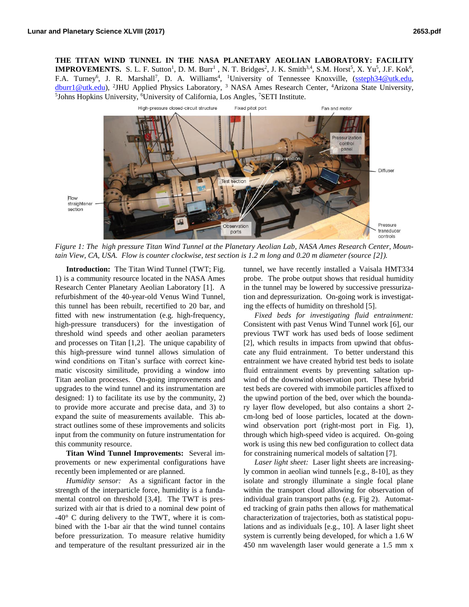**THE TITAN WIND TUNNEL IN THE NASA PLANETARY AEOLIAN LABORATORY: FACILITY IMPROVEMENTS.** S. L. F. Sutton<sup>1</sup>, D. M. Burr<sup>1</sup>, N. T. Bridges<sup>2</sup>, J. K. Smith<sup>3,4</sup>, S.M. Horst<sup>5</sup>, X. Yu<sup>5</sup>, J.F. Kok<sup>6</sup>, F.A. Turney<sup>6</sup>, J. R. Marshall<sup>7</sup>, D. A. Williams<sup>4</sup>, <sup>1</sup>University of Tennessee Knoxville, [\(ssteph34@utk.edu,](mailto:ssteph34@utk.edu) [dburr1@utk.edu\)](mailto:dburr1@utk.edu), <sup>2</sup>JHU Applied Physics Laboratory, <sup>3</sup> NASA Ames Research Center, <sup>4</sup>Arizona State University, <sup>5</sup>Johns Hopkins University, <sup>6</sup>University of California, Los Angles, <sup>7</sup>SETI Institute.



*Figure 1: The high pressure Titan Wind Tunnel at the Planetary Aeolian Lab, NASA Ames Research Center, Mountain View, CA, USA. Flow is counter clockwise, test section is 1.2 m long and 0.20 m diameter (source [2]).*

**Introduction:** The Titan Wind Tunnel (TWT; Fig. 1) is a community resource located in the NASA Ames Research Center Planetary Aeolian Laboratory [1]. A refurbishment of the 40-year-old Venus Wind Tunnel, this tunnel has been rebuilt, recertified to 20 bar, and fitted with new instrumentation (e.g. high-frequency, high-pressure transducers) for the investigation of threshold wind speeds and other aeolian parameters and processes on Titan [1,2]. The unique capability of this high-pressure wind tunnel allows simulation of wind conditions on Titan's surface with correct kinematic viscosity similitude, providing a window into Titan aeolian processes. On-going improvements and upgrades to the wind tunnel and its instrumentation are designed: 1) to facilitate its use by the community, 2) to provide more accurate and precise data, and 3) to expand the suite of measurements available. This abstract outlines some of these improvements and solicits input from the community on future instrumentation for this community resource.

**Titan Wind Tunnel Improvements:** Several improvements or new experimental configurations have recently been implemented or are planned.

*Humidity sensor:* As a significant factor in the strength of the interparticle force, humidity is a fundamental control on threshold [3,4]. The TWT is pressurized with air that is dried to a nominal dew point of -40° C during delivery to the TWT, where it is combined with the 1-bar air that the wind tunnel contains before pressurization. To measure relative humidity and temperature of the resultant pressurized air in the

tunnel, we have recently installed a Vaisala HMT334 probe. The probe output shows that residual humidity in the tunnel may be lowered by successive pressurization and depressurization. On-going work is investigating the effects of humidity on threshold [5].

*Fixed beds for investigating fluid entrainment:* Consistent with past Venus Wind Tunnel work [6], our previous TWT work has used beds of loose sediment [2], which results in impacts from upwind that obfuscate any fluid entrainment. To better understand this entrainment we have created hybrid test beds to isolate fluid entrainment events by preventing saltation upwind of the downwind observation port. These hybrid test beds are covered with immobile particles affixed to the upwind portion of the bed, over which the boundary layer flow developed, but also contains a short 2 cm-long bed of loose particles, located at the downwind observation port (right-most port in Fig. 1), through which high-speed video is acquired. On-going work is using this new bed configuration to collect data for constraining numerical models of saltation [7].

*Laser light sheet:* Laser light sheets are increasingly common in aeolian wind tunnels [e.g., 8-10], as they isolate and strongly illuminate a single focal plane within the transport cloud allowing for observation of individual grain transport paths (e.g. Fig 2). Automated tracking of grain paths then allows for mathematical characterization of trajectories, both as statistical populations and as individuals [e.g., 10]. A laser light sheet system is currently being developed, for which a 1.6 W 450 nm wavelength laser would generate a 1.5 mm x